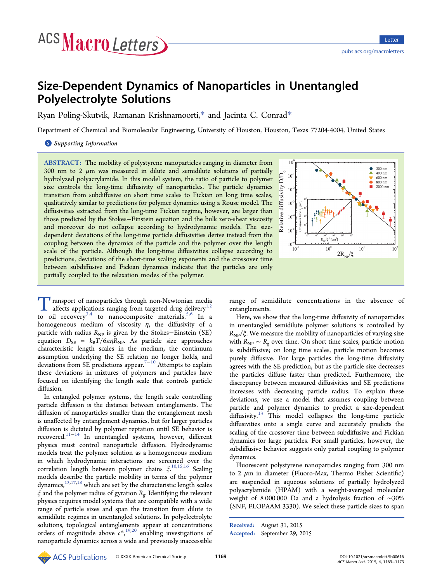# Size-Dependent Dynamics of Nanoparticles in Unentangled Polyelectrolyte Solutions

Ryan Poling-Skutvik, Ramanan Krishnamoorti,[\\*](#page-3-0) and Jacinta C. Conrad[\\*](#page-3-0)

Department of Chemical and Biomolecular Engineering, University of Houston, Houston, Texas 77204-4004, United States

**S** [Supporting Information](#page-3-0)

ABSTRACT: The mobility of polystyrene nanoparticles ranging in diameter from 300 nm to 2  $\mu$ m was measured in dilute and semidilute solutions of partially hydrolyzed polyacrylamide. In this model system, the ratio of particle to polymer size controls the long-time diffusivity of nanoparticles. The particle dynamics transition from subdiffusive on short time scales to Fickian on long time scales, qualitatively similar to predictions for polymer dynamics using a Rouse model. The diffusivities extracted from the long-time Fickian regime, however, are larger than those predicted by the Stokes−Einstein equation and the bulk zero-shear viscosity and moreover do not collapse according to hydrodynamic models. The sizedependent deviations of the long-time particle diffusivities derive instead from the coupling between the dynamics of the particle and the polymer over the length scale of the particle. Although the long-time diffusivities collapse according to predictions, deviations of the short-time scaling exponents and the crossover time between subdiffusive and Fickian dynamics indicate that the particles are only partially coupled to the relaxation modes of the polymer.



Transport of nanoparticles through non-Newtonian media<br>affects applications ranging from targeted drug delivery<sup>1,2</sup><br>to all recovery<sup>3,4</sup> to nanocomposite materials<sup>5,6</sup> In to oil recovery<sup>3,4</sup> to nanocomposite materials.<sup>5,6</sup> In a homogeneous [med](#page-3-0)ium of viscosity  $\eta$ , the diffusi[vity](#page-3-0) of a particle with radius  $R_{NP}$  is given by the Stokes–Einstein (SE) equation  $D_{\text{SE}} = k_{\text{B}}T/6\pi\eta R_{\text{NP}}$ . As particle size approaches characteristic length scales in the medium, the continuum assumption underlying the SE relation no longer holds, and deviations from SE predictions appear.<sup>7−10</sup> Attempts to explain these deviations in mixtures of poly[mers](#page-3-0) and particles have focused on identifying the length scale that controls particle diffusion.

In entangled polymer systems, the length scale controlling particle diffusion is the distance between entanglements. The diffusion of nanoparticles smaller than the entanglement mesh is unaffected by entanglement dynamics, but for larger particles diffusion is dictated by polymer reptation until SE behavior is recovered.11−<sup>14</sup> In unentangled systems, however, different physics [must](#page-3-0) [c](#page-3-0)ontrol nanoparticle diffusion. Hydrodynamic models treat the polymer solution as a homogeneous medium in which hydrodynamic interactions are screened over the correlation length between polymer chains ξ. 10,15,16 Scaling models describe the particle mobility in terms [of](#page-3-0) [the](#page-3-0) polymer dynamics,  $^{13,17,18}$  $^{13,17,18}$  $^{13,17,18}$  $^{13,17,18}$  $^{13,17,18}$  which are set by the characteristic length scales  $\xi$  and the polymer radius of gyration  $R_{\rm g}$ . Identifying the relevant physics requires model systems that are compatible with a wide range of particle sizes and span the transition from dilute to semidilute regimes in unentangled solutions. In polyelectrolyte solutions, topological entanglements appear at concentrations orders of magnitude above  $c^*$ ,  $^{19,20}$  enabling investigations of nanoparticle dynamics across a [wide](#page-3-0) and previously inaccessible

range of semidilute concentrations in the absence of entanglements.

Here, we show that the long-time diffusivity of nanoparticles in unentangled semidilute polymer solutions is controlled by  $R_{NP}/\xi$ . We measure the mobility of nanoparticles of varying size with  $R_{NP} \sim R_g$  over time. On short time scales, particle motion is subdiffusive; on long time scales, particle motion becomes purely diffusive. For large particles the long-time diffusivity agrees with the SE prediction, but as the particle size decreases the particles diffuse faster than predicted. Furthermore, the discrepancy between measured diffusivities and SE predictions increases with decreasing particle radius. To explain these deviations, we use a model that assumes coupling between particle and polymer dynamics to predict a size-dependent diffusivity. $13$  This model collapses the long-time particle diffusivitie[s](#page-3-0) onto a single curve and accurately predicts the scaling of the crossover time between subdiffusive and Fickian dynamics for large particles. For small particles, however, the subdiffusive behavior suggests only partial coupling to polymer dynamics.

Fluorescent polystyrene nanoparticles ranging from 300 nm to 2  $\mu$ m in diameter (Fluoro-Max, Thermo Fisher Scientific) are suspended in aqueous solutions of partially hydrolyzed polyacrylamide (HPAM) with a weight-averaged molecular weight of 8 000 000 Da and a hydrolysis fraction of ∼30% (SNF, FLOPAAM 3330). We select these particle sizes to span

Received: August 31, 2015 Accepted: September 29, 2015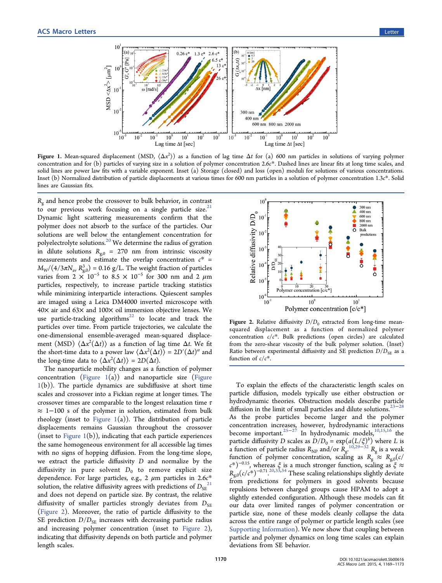<span id="page-1-0"></span>

Figure 1. Mean-squared displacement (MSD,  $(\Delta x^2)$ ) as a function of lag time  $\Delta t$  for (a) 600 nm particles in solutions of varying polymer concentration and for (b) particles of varying size in a solution of polymer concentration 2.6c\*. Dashed lines are linear fits at long time scales, and solid lines are power law fits with a variable exponent. Inset (a) Storage (closed) and loss (open) moduli for solutions of various concentrations. Inset (b) Normalized distribution of particle displacements at various times for 600 nm particles in a solution of polymer concentration 1.3c\*. Solid lines are Gaussian fits.

 $R_{\rm g}$  and hence probe the crossover to bulk behavior, in contrast to our previous work focusing on a single particle size. $21$ Dynamic light scattering measurements confirm that the polymer does not absorb to the surface of the particles. Our solutions are well below the entanglement concentration for polyelectrolyte solutions.<sup>20</sup> We determine the radius of gyration in dilute solutions  $R_{g,0} = 270$  $R_{g,0} = 270$  $R_{g,0} = 270$  nm from intrinsic viscosity measurements and estimate the overlap concentration  $c^*$  =  $M_{\rm W}/(4/3\pi N_{\rm av}\,R_{\rm g,0}^3)$  = 0.16 g/L. The weight fraction of particles varies from 2  $\times$  10<sup>-5</sup> to 8.5  $\times$  10<sup>-5</sup> for 300 nm and 2  $\mu$ m particles, respectively, to increase particle tracking statistics while minimizing interparticle interactions. Quiescent samples are imaged using a Leica DM4000 inverted microscope with 40× air and 63× and 100× oil immersion objective lenses. We use particle-tracking algorithms $^{22}$  to locate and track the particles over time. From particl[e](#page-3-0) [t](#page-3-0)rajectories, we calculate the one-dimensional ensemble-averaged mean-squared displacement (MSD)  $\langle \Delta x^2(\Delta t) \rangle$  as a function of lag time  $\Delta t$ . We fit the short-time data to a power law  $\langle \Delta x^2(\Delta t) \rangle = 2D'(\Delta t)^{\alpha}$  and the long-time data to  $\langle \Delta x^2(\Delta t) \rangle = 2D(\Delta t)$ .

The nanoparticle mobility changes as a function of polymer concentration (Figure  $1(a)$ ) and nanoparticle size (Figure  $1(b)$ ). The particle dynamics are subdiffusive at short time scales and crossover into a Fickian regime at longer times. The crossover times are comparable to the longest relaxation time  $\tau$ ≈ 1−100 s of the polymer in solution, estimated from bulk rheology (inset to Figure  $1(a)$ ). The distribution of particle displacements remains Gaussian throughout the crossover (inset to Figure  $1(b)$ ), indicating that each particle experiences the same homogeneous environment for all accessible lag times with no signs of hopping diffusion. From the long-time slope, we extract the particle diffusivity D and normalize by the diffusivity in pure solvent  $D_0$  to remove explicit size dependence. For large particles, e.g., 2  $\mu$ m particles in 2.6 $c^*$ solution, the relative diffusivity agrees with predictions of  $D_{SE}^{21}$ and does not depend on particle size. By contrast, the relati[ve](#page-3-0) diffusivity of smaller particles strongly deviates from  $D_{SE}$ (Figure 2). Moreover, the ratio of particle diffusivity to the SE prediction  $D/D_{SE}$  increases with decreasing particle radius and increasing polymer concentration (inset to Figure 2), indicating that diffusivity depends on both particle and polymer length scales.



Figure 2. Relative diffusivity  $D/D_0$  extracted from long-time meansquared displacement as a function of normalized polymer concentration  $c/c^*$ . Bulk predictions (open circles) are calculated from the zero-shear viscosity of the bulk polymer solution. (Inset) Ratio between experimental diffusivity and SE prediction  $D/D_{SE}$  as a function of  $c/c^*$ .

To explain the effects of the characteristic length scales on particle diffusion, models typically use either obstruction or hydrodynamic theories. Obstruction models describe particle diffusion in the limit of small particles and dilute solutions.<sup>23–28</sup> As the probe particles become larger and the po[lymer](#page-4-0) concentration increases, however, hydrodynamic interactions become important.<sup>25−27</sup> In hydrodynamic models,<sup>10,15,16</sup> the particle diffusivity [D](#page-4-0) s[cale](#page-4-0)s as  $D/D_0 = \exp(a(L/\xi)^b)$  [where](#page-3-0) L is a function of particle radius  $R_{\text{NP}}$  and/or  $R_{\text{g}}^{\frac{1}{10,29-32}}$   $R_{\text{g}}$  is a weak function of polymer concentration, scali[ng](#page-3-0) [a](#page-4-0)s  $R_g \approx R_{g,0}(c)$  $R_g \approx R_{g,0}(c)$  $(c^*)^{-0.15}$ , whereas  $\xi$  is a much stronger function, scaling as  $\xi \approx$  $R_{\rm g,0}(c/c^*)^{-0.71}$ .<sup>20,33,34</sup> These scaling relationships slightly deviate from predicti[on](#page-3-0)[s](#page-4-0) [fo](#page-4-0)r polymers in good solvents because repulsions between charged groups cause HPAM to adopt a slightly extended configuration. Although these models can fit our data over limited ranges of polymer concentration or particle size, none of these models cleanly collapse the data across the entire range of polymer or particle length scales (see Supporting Information). We now show that coupling between [particle and polymer dy](http://pubs.acs.org/doi/suppl/10.1021/acsmacrolett.5b00616/suppl_file/mz5b00616_si_001.pdf)namics on long time scales can explain deviations from SE behavior.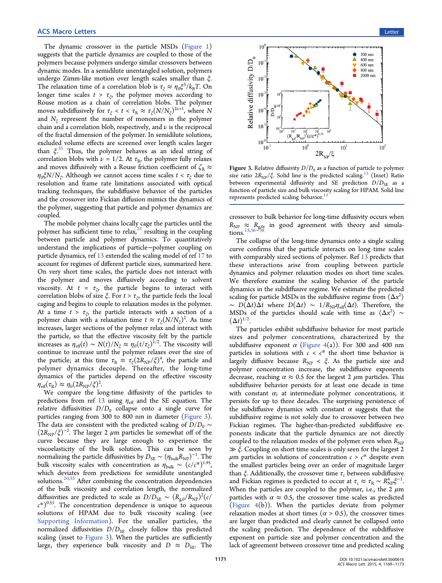The dynamic crossover in the particle MSDs (Figure 1) suggests that the particle dynamics are coupled to th[ose of the](#page-1-0) polymers because polymers undergo similar crossovers between dynamic modes. In a semidilute unentangled solution, polymers undergo Zimm-like motion over length scales smaller than ξ. The relaxation time of a correlation blob is  $\tau_{\xi} \approx \eta_0 \xi^3 / k_B T$ . On longer time scales  $t > \tau_{\xi}$ , the polymer moves according to Rouse motion as a chain of correlation blobs. The polymer moves subdiffusively for  $\tau_{\xi} < t < \tau_{\text{R}} \approx \tau_{\xi}(N/N_{\xi})^{2\nu+1}$ , where N and  $N_f$  represent the number of monomers in the polymer chain and a correlation blob, respectively, and  $\nu$  is the reciprocal of the fractal dimension of the polymer. In semidilute solutions, excluded volume effects are screened over length scales larger than  $\xi^{35}$  Thus, the polymer behaves as an ideal string of correla[tio](#page-4-0)n blobs with  $\nu = 1/2$ . At  $\tau_R$ , the polymer fully relaxes and moves diffusively with a Rouse friction coefficient of  $\zeta_R \approx$  $\eta_0 \xi N/N_{\xi}$ . Although we cannot access time scales  $t < \tau_{\xi}$  due to resolution and frame rate limitations associated with optical tracking techniques, the subdiffusive behavior of the particles and the crossover into Fickian diffusion mimics the dynamics of the polymer, suggesting that particle and polymer dynamics are coupled.

The mobile polymer chains locally cage the particles until the polymer has sufficient time to relax, $21$  resulting in the coupling between particle and polymer d[yna](#page-3-0)mics. To quantitatively understand the implications of particle−polymer coupling on particle dynamics, ref 13 extended the scaling model of ref 17 to account for regimes o[f d](#page-3-0)ifferent particle sizes, summarized [he](#page-3-0)re. On very short time scales, the particle does not interact with the polymer and moves diffusively according to solvent viscosity. At  $t = \tau_{\xi}$ , the particle begins to interact with correlation blobs of size  $\xi$ . For  $t > \tau_{\xi}$ , the particle feels the local caging and begins to couple to relaxation modes in the polymer. At a time  $t > \tau_{\xi}$ , the particle interacts with a section of a polymer chain with a relaxation time  $t \approx \tau_{\xi}(N/N_{\xi})^2$ . As time increases, larger sections of the polymer relax and interact with the particle, so that the effective viscosity felt by the particle increases as  $\eta_{\text{eff}}(t) \sim N(t)/N_{\xi} \approx \eta_0 (t/\tau_{\xi})^{1/2}$ . The viscosity will continue to increase until the polymer relaxes over the size of the particle; at this time  $\tau_R \approx \tau_\xi (2R_{NP}/\xi)^4$ , the particle and polymer dynamics decouple. Thereafter, the long-time dynamics of the particles depend on the effective viscosity  $\eta_{\text{eff}}(\tau_{\text{R}}) \approx \eta_0(2R_{\text{NP}}/\xi)^2$ . .

We compare the long-time diffusivity of the particles to predictions from ref 13 using  $\eta_{\text{eff}}$  and the SE equation. The relative diffusivities  $D/D_0$  $D/D_0$  collapse onto a single curve for particles ranging from 300 to 800 nm in diameter (Figure 3). The data are consistent with the predicted scaling of  $D/D_0 \sim$  $(2R_{\text{NP}}/\xi)^{-2}$ . The larger 2  $\mu$ m particles lie somewhat off of the curve because they are large enough to experience the viscoelasticity of the bulk solution. This can be seen by normalizing the particle diffusivities by  $D_{\text{SE}} \sim (\eta_{\text{bulk}} R_{\text{NP}})^{-1}$ . The bulk viscosity scales with concentration as  $\eta_{\text{bulk}} \sim (c/c^*)^{1.95}$ , which deviates from predictions for semidilute unentangled solutions.<sup>20,35</sup> After combining the concentration dependencies of the b[ulk](#page-3-0) [v](#page-4-0)iscosity and correlation length, the normalized diffusivities are predicted to scale as  $D/D_{\text{SE}} \sim (R_{\text{g},0}/R_{\text{NP}})^2(c/$  $(c^*)^{0.53}$ . The concentration dependence is unique to aqueous solutions of HPAM due to bulk viscosity scaling (see Supporting Information). For the smaller particles, the [normalized di](http://pubs.acs.org/doi/suppl/10.1021/acsmacrolett.5b00616/suppl_file/mz5b00616_si_001.pdf)ffusivities  $D/D_{SE}$  closely follow this predicted scaling (inset to Figure 3). When the particles are sufficiently large, they experience bulk viscosity and  $D \approx D_{SE}$ . The



Figure 3. Relative diffusivity  $D/D_0$  as a function of particle to polymer size ratio  $2R_{NP}/\xi$ . Solid line is the predicted scaling.<sup>13</sup> (Inset) Ratio between experimental diffusivity and SE predicti[on](#page-3-0)  $D/D_{SE}$  as a function of particle size and bulk viscosity scaling for HPAM. Solid line represents predicted scaling behavior.<sup>1</sup>

crossover to bulk behavior for long-time diffusivity occurs when  $R_{\text{NP}} \approx R_{\text{g},0}$  in good agreement with theory and simula $tions.<sup>13,36−538</sup>$ 

Th[e](#page-3-0) [col](#page-4-0)l[ap](#page-4-0)se of the long-time dynamics onto a single scaling curve confirms that the particle interacts on long time scales with comparably sized sections of polymer. Ref 13 predicts that these interactions arise from coupling b[etwe](#page-3-0)en particle dynamics and polymer relaxation modes on short time scales. We therefore examine the scaling behavior of the particle dynamics in the subdiffusive regime. We estimate the predicted scaling for particle MSDs in the subdiffusive regime from  $\langle \Delta x^2 \rangle$  $\sim D(\Delta t) \Delta t$  where  $D(\Delta t) \sim 1/R_{NP} \eta_{eff}(\Delta t)$ . Therefore, the MSDs of the particles should scale with time as  $\langle \Delta x^2 \rangle \sim$  $(\Delta t)^{1/2}$ .

The particles exhibit subdiffusive behavior for most particle sizes and polymer concentrations, characterized by the subdiffusive exponent  $\alpha$  (Figure 4(a)). For 300 and 400 nm particles in solutions with  $c < c^*$  $c < c^*$  the short time behavior is largely diffusive because  $R_{NP} < \xi$ . As the particle size and polymer concentration increase, the subdiffusive exponents decrease, reaching  $\alpha \approx 0.5$  for the largest 2  $\mu$ m particles. This subdiffusive behavior persists for at least one decade in time with constant  $\alpha$ ; at intermediate polymer concentrations, it persists for up to three decades. The surprising persistence of the subdiffusive dynamics with constant  $\alpha$  suggests that the subdiffusive regime is not solely due to crossover between two Fickian regimes. The higher-than-predicted subdiffusive exponents indicate that the particle dynamics are not directly coupled to the relaxation modes of the polymer even when  $R_{NP}$ ≫ ξ. Coupling on short time scales is only seen for the largest 2  $\mu$ m particles in solutions of concentration  $c > c^*$  despite even the smallest particles being over an order of magnitude larger than  $\xi$ . Additionally, the crossover time  $\tau_c$  between subdiffusive and Fickian regimes is predicted to occur at  $\tau_c \approx \tau_R \sim R_{\text{NP}}^4 \xi^{-1}$ . When the particles are coupled to the polymer, i.e., the 2  $\mu$ m particles with  $\alpha \approx 0.5$ , the crossover time scales as predicted (Figure 4(b)). When the particles deviate from polymer r[elaxation](#page-3-0) modes at short times ( $\alpha > 0.5$ ), the crossover times are larger than predicted and clearly cannot be collapsed onto the scaling prediction. The dependence of the subdiffusive exponent on particle size and polymer concentration and the lack of agreement between crossover time and predicted scaling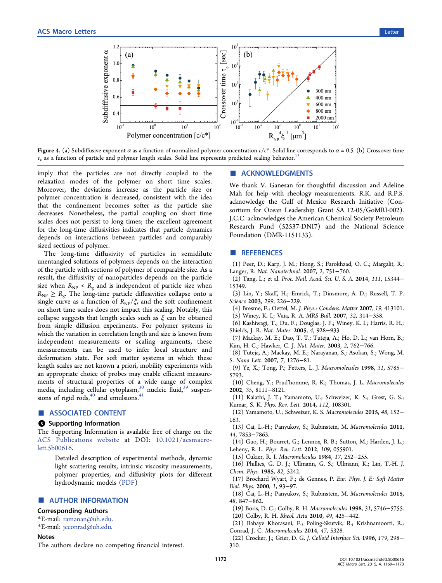<span id="page-3-0"></span>

Figure 4. (a) Subdiffusive exponent  $\alpha$  as a function of normalized polymer concentration  $c/c^*$ . Solid line corresponds to  $\alpha = 0.5$ . (b) Crossover time  $\tau_c$  as a function of particle and polymer length scales. Solid line represents predicted scaling behavior.<sup>1</sup>

imply that the particles are not directly coupled to the relaxation modes of the polymer on short time scales. Moreover, the deviations increase as the particle size or polymer concentration is decreased, consistent with the idea that the confinement becomes softer as the particle size decreases. Nonetheless, the partial coupling on short time scales does not persist to long times; the excellent agreement for the long-time diffusivities indicates that particle dynamics depends on interactions between particles and comparably sized sections of polymer.

The long-time diffusivity of particles in semidilute unentangled solutions of polymers depends on the interaction of the particle with sections of polymer of comparable size. As a result, the diffusivity of nanoparticles depends on the particle size when  $R_{NP} < R_g$  and is independent of particle size when  $R_{\text{NP}} \ge R_{\text{g}}$ . The long-time particle diffusivities collapse onto a single curve as a function of  $R_{NP}/\xi$ , and the soft confinement on short time scales does not impact this scaling. Notably, this collapse suggests that length scales such as  $\xi$  can be obtained from simple diffusion experiments. For polymer systems in which the variation in correlation length and size is known from independent measurements or scaling arguments, these measurements can be used to infer local structure and deformation state. For soft matter systems in which these length scales are not known a priori, mobility experiments with an appropriate choice of probes may enable efficient measurements of structural properties of a wide range of complex media, including cellular cytoplasm,<sup>30</sup> nucleic fluid,<sup>[39](#page-4-0)</sup> suspensions of rigid rods,  $40$  and emulsions.  $41$ <br> **■ ASSOCIATED CONTENT** 

# **6** Supporting Information

The Supporting Information is available free of charge on the ACS Publications website at DOI: [10.1021/acsmacro](http://pubs.acs.org/doi/abs/10.1021/acsmacrolett.5b00616)[lett.5b00616.](http://pubs.acs.org)

[Detaile](http://pubs.acs.org/doi/abs/10.1021/acsmacrolett.5b00616)d description of experimental methods, dynamic light scattering results, intrinsic viscosity measurements, polymer properties, and diffusivity plots for different hydrodynamic models [\(PDF](http://pubs.acs.org/doi/suppl/10.1021/acsmacrolett.5b00616/suppl_file/mz5b00616_si_001.pdf))

# ■ AUTHOR INFORMATION

#### Corresponding Authors

\*E-mail: ramanan@uh.edu.

\*E-mail: [jcconrad@uh.edu.](mailto:ramanan@uh.edu)

### **Notes**

The authors declare no competing financial interest.

# ■ ACKNOWLEDGMENTS

We thank V. Ganesan for thoughtful discussion and Adeline Mah for help with rheology measurements. R.K. and R.P.S. acknowledge the Gulf of Mexico Research Initiative (Consortium for Ocean Leadership Grant SA 12-05/GoMRI-002). J.C.C. acknowledges the American Chemical Society Petroleum Research Fund (52537-DNI7) and the National Science Foundation (DMR-1151133).

# ■ REFERENCES

- (1) Peer, D.; Karp, J. M.; Hong, S.; Farokhzad, O. C.; Margalit, R.; Langer, R. Nat. Nanotechnol. 2007, 2, 751−760.
- (2) Tang, L.; et al. Proc. Natl. Acad. Sci. U. S. A. 2014, 111, 15344− 15349.
- (3) Lin, Y.; Skaff, H.; Emrick, T.; Dinsmore, A. D.; Russell, T. P. Science 2003, 299, 226−229.
- (4) Bresme, F.; Oettel, M. J. Phys.: Condens. Matter 2007, 19, 413101. (5) Winey, K. I.; Vaia, R. A. MRS Bull. 2007, 32, 314−358.
- (6) Kashiwagi, T.; Du, F.; Douglas, J. F.; Winey, K. I.; Harris, R. H.; Shields, J. R. Nat. Mater. 2005, 4, 928−933.
- (7) Mackay, M. E.; Dao, T. T.; Tuteja, A.; Ho, D. L.; van Horn, B.; Kim, H.-C.; Hawker, C. J. Nat. Mater. 2003, 2, 762−766.
- (8) Tuteja, A.; Mackay, M. E.; Narayanan, S.; Asokan, S.; Wong, M. S. Nano Lett. 2007, 7, 1276−81.
- (9) Ye, X.; Tong, P.; Fetters, L. J. Macromolecules 1998, 31, 5785− 5793.
- (10) Cheng, Y.; Prud'homme, R. K.; Thomas, J. L. Macromolecules 2002, 35, 8111−8121.
- (11) Kalathi, J. T.; Yamamoto, U.; Schweizer, K. S.; Grest, G. S.; Kumar, S. K. Phys. Rev. Lett. 2014, 112, 108301.
- (12) Yamamoto, U.; Schweizer, K. S. Macromolecules 2015, 48, 152− 163.
- (13) Cai, L.-H.; Panyukov, S.; Rubinstein, M. Macromolecules 2011, 44, 7853−7863.
- (14) Guo, H.; Bourret, G.; Lennox, R. B.; Sutton, M.; Harden, J. L.; Leheny, R. L. Phys. Rev. Lett. 2012, 109, 055901.
- (15) Cukier, R. I. Macromolecules 1984, 17, 252−255.
- (16) Phillies, G. D. J.; Ullmann, G. S.; Ullmann, K.; Lin, T.-H. J. Chem. Phys. 1985, 82, 5242.
- (17) Brochard Wyart, F.; de Gennes, P. Eur. Phys. J. E: Soft Matter Biol. Phys. 2000, 1, 93−97.
- (18) Cai, L.-H.; Panyukov, S.; Rubinstein, M. Macromolecules 2015, 48, 847−862.
- (19) Boris, D. C.; Colby, R. H. Macromolecules 1998, 31, 5746−5755.
- (20) Colby, R. H. Rheol. Acta 2010, 49, 425−442.
- (21) Babaye Khorasani, F.; Poling-Skutvik, R.; Krishnamoorti, R.; Conrad, J. C. Macromolecules 2014, 47, 5328.
- (22) Crocker, J.; Grier, D. G. J. Colloid Interface Sci. 1996, 179, 298− 310.